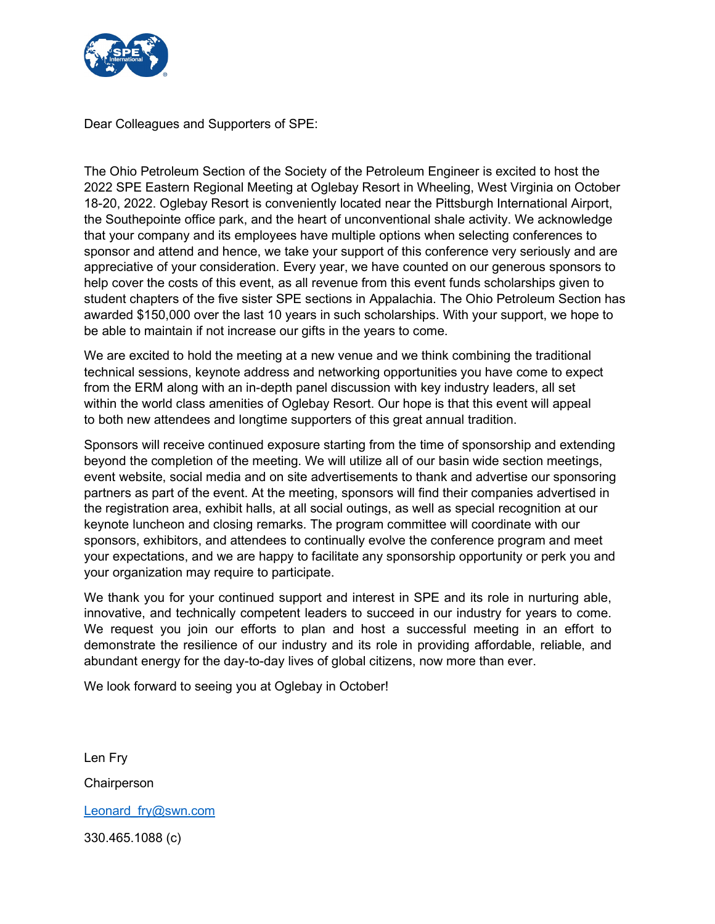

Dear Colleagues and Supporters of SPE:

The Ohio Petroleum Section of the Society of the Petroleum Engineer is excited to host the 2022 SPE Eastern Regional Meeting at Oglebay Resort in Wheeling, West Virginia on October 18-20, 2022. Oglebay Resort is conveniently located near the Pittsburgh International Airport, the Southepointe office park, and the heart of unconventional shale activity. We acknowledge that your company and its employees have multiple options when selecting conferences to sponsor and attend and hence, we take your support of this conference very seriously and are appreciative of your consideration. Every year, we have counted on our generous sponsors to help cover the costs of this event, as all revenue from this event funds scholarships given to student chapters of the five sister SPE sections in Appalachia. The Ohio Petroleum Section has awarded \$150,000 over the last 10 years in such scholarships. With your support, we hope to be able to maintain if not increase our gifts in the years to come.

We are excited to hold the meeting at a new venue and we think combining the traditional technical sessions, keynote address and networking opportunities you have come to expect from the ERM along with an in-depth panel discussion with key industry leaders, all set within the world class amenities of Oglebay Resort. Our hope is that this event will appeal to both new attendees and longtime supporters of this great annual tradition.

Sponsors will receive continued exposure starting from the time of sponsorship and extending beyond the completion of the meeting. We will utilize all of our basin wide section meetings, event website, social media and on site advertisements to thank and advertise our sponsoring partners as part of the event. At the meeting, sponsors will find their companies advertised in the registration area, exhibit halls, at all social outings, as well as special recognition at our keynote luncheon and closing remarks. The program committee will coordinate with our sponsors, exhibitors, and attendees to continually evolve the conference program and meet your expectations, and we are happy to facilitate any sponsorship opportunity or perk you and your organization may require to participate.

We thank you for your continued support and interest in SPE and its role in nurturing able, innovative, and technically competent leaders to succeed in our industry for years to come. We request you join our efforts to plan and host a successful meeting in an effort to demonstrate the resilience of our industry and its role in providing affordable, reliable, and abundant energy for the day-to-day lives of global citizens, now more than ever.

We look forward to seeing you at Oglebay in October!

Len Fry

**Chairperson** 

Leonard fry@swn.com

330.465.1088 (c)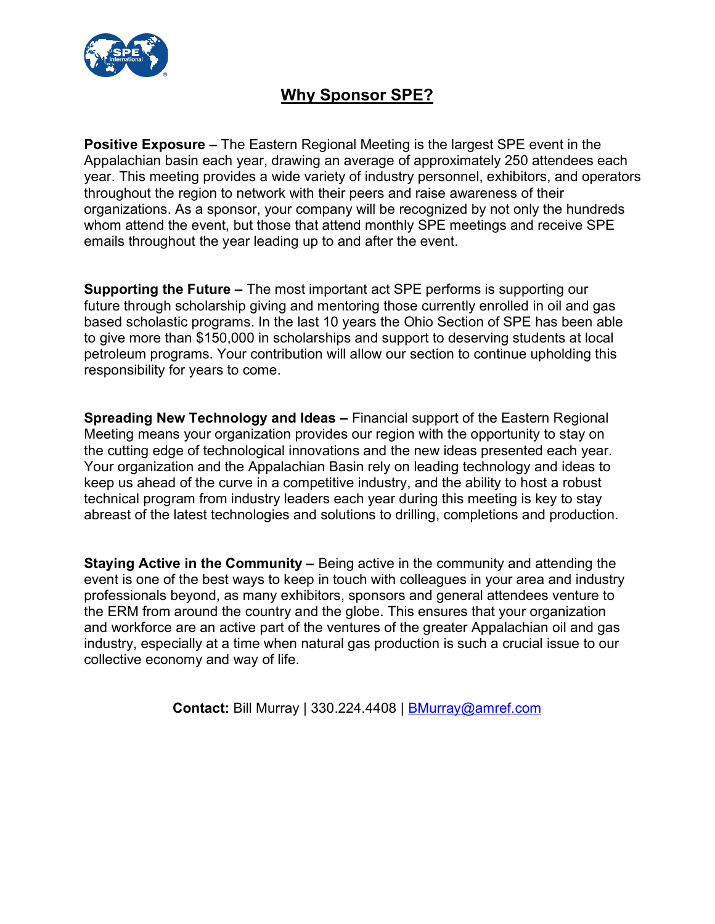

## Why Sponsor SPE?

Positive Exposure – The Eastern Regional Meeting is the largest SPE event in the Appalachian basin each year, drawing an average of approximately 250 attendees each year. This meeting provides a wide variety of industry personnel, exhibitors, and operators throughout the region to network with their peers and raise awareness of their organizations. As a sponsor, your company will be recognized by not only the hundreds whom attend the event, but those that attend monthly SPE meetings and receive SPE emails throughout the year leading up to and after the event.

Supporting the Future – The most important act SPE performs is supporting our future through scholarship giving and mentoring those currently enrolled in oil and gas based scholastic programs. In the last 10 years the Ohio Section of SPE has been able to give more than \$150,000 in scholarships and support to deserving students at local petroleum programs. Your contribution will allow our section to continue upholding this responsibility for years to come.

Spreading New Technology and Ideas – Financial support of the Eastern Regional Meeting means your organization provides our region with the opportunity to stay on the cutting edge of technological innovations and the new ideas presented each year. Your organization and the Appalachian Basin rely on leading technology and ideas to keep us ahead of the curve in a competitive industry, and the ability to host a robust technical program from industry leaders each year during this meeting is key to stay abreast of the latest technologies and solutions to drilling, completions and production.

Staying Active in the Community – Being active in the community and attending the event is one of the best ways to keep in touch with colleagues in your area and industry professionals beyond, as many exhibitors, sponsors and general attendees venture to the ERM from around the country and the globe. This ensures that your organization and workforce are an active part of the ventures of the greater Appalachian oil and gas industry, especially at a time when natural gas production is such a crucial issue to our collective economy and way of life.

Contact: Bill Murray | 330.224.4408 | BMurray@amref.com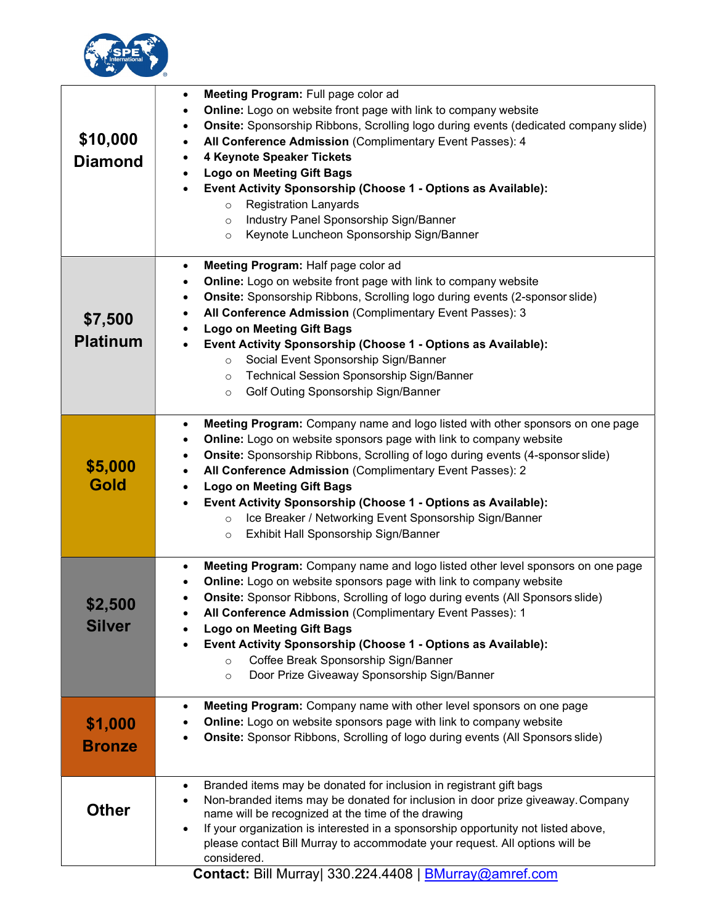

| \$10,000<br><b>Diamond</b> | Meeting Program: Full page color ad<br>Online: Logo on website front page with link to company website<br>Onsite: Sponsorship Ribbons, Scrolling logo during events (dedicated company slide)<br>$\bullet$<br>All Conference Admission (Complimentary Event Passes): 4<br>٠<br>4 Keynote Speaker Tickets<br>٠<br><b>Logo on Meeting Gift Bags</b><br>Event Activity Sponsorship (Choose 1 - Options as Available):<br>$\bullet$<br><b>Registration Lanyards</b><br>$\circ$<br>Industry Panel Sponsorship Sign/Banner<br>$\circ$<br>Keynote Luncheon Sponsorship Sign/Banner<br>$\circ$ |
|----------------------------|----------------------------------------------------------------------------------------------------------------------------------------------------------------------------------------------------------------------------------------------------------------------------------------------------------------------------------------------------------------------------------------------------------------------------------------------------------------------------------------------------------------------------------------------------------------------------------------|
| \$7,500<br><b>Platinum</b> | Meeting Program: Half page color ad<br>٠<br>Online: Logo on website front page with link to company website<br>٠<br>Onsite: Sponsorship Ribbons, Scrolling logo during events (2-sponsor slide)<br>٠<br>All Conference Admission (Complimentary Event Passes): 3<br>٠<br><b>Logo on Meeting Gift Bags</b><br>Event Activity Sponsorship (Choose 1 - Options as Available):<br>Social Event Sponsorship Sign/Banner<br>$\circ$<br>Technical Session Sponsorship Sign/Banner<br>$\circ$<br>Golf Outing Sponsorship Sign/Banner<br>$\circ$                                                |
| \$5,000<br>Gold            | Meeting Program: Company name and logo listed with other sponsors on one page<br>$\bullet$<br>Online: Logo on website sponsors page with link to company website<br>٠<br>Onsite: Sponsorship Ribbons, Scrolling of logo during events (4-sponsor slide)<br>٠<br>All Conference Admission (Complimentary Event Passes): 2<br><b>Logo on Meeting Gift Bags</b><br>٠<br>Event Activity Sponsorship (Choose 1 - Options as Available):<br>Ice Breaker / Networking Event Sponsorship Sign/Banner<br>$\circ$<br>Exhibit Hall Sponsorship Sign/Banner<br>$\circ$                             |
| \$2,500<br><b>Silver</b>   | Meeting Program: Company name and logo listed other level sponsors on one page<br>٠<br>Online: Logo on website sponsors page with link to company website<br>٠<br>Onsite: Sponsor Ribbons, Scrolling of logo during events (All Sponsors slide)<br>All Conference Admission (Complimentary Event Passes): 1<br><b>Logo on Meeting Gift Bags</b><br>Event Activity Sponsorship (Choose 1 - Options as Available):<br>$\bullet$<br>Coffee Break Sponsorship Sign/Banner<br>$\circ$<br>Door Prize Giveaway Sponsorship Sign/Banner<br>$\circ$                                             |
| \$1,000<br><b>Bronze</b>   | Meeting Program: Company name with other level sponsors on one page<br>٠<br>Online: Logo on website sponsors page with link to company website<br><b>Onsite:</b> Sponsor Ribbons, Scrolling of logo during events (All Sponsors slide)                                                                                                                                                                                                                                                                                                                                                 |
| <b>Other</b>               | Branded items may be donated for inclusion in registrant gift bags<br>$\bullet$<br>Non-branded items may be donated for inclusion in door prize giveaway. Company<br>٠<br>name will be recognized at the time of the drawing<br>If your organization is interested in a sponsorship opportunity not listed above,<br>٠<br>please contact Bill Murray to accommodate your request. All options will be<br>considered.<br>Contact: Bill Murray 330 224 4408   BMurray@amref.com                                                                                                          |